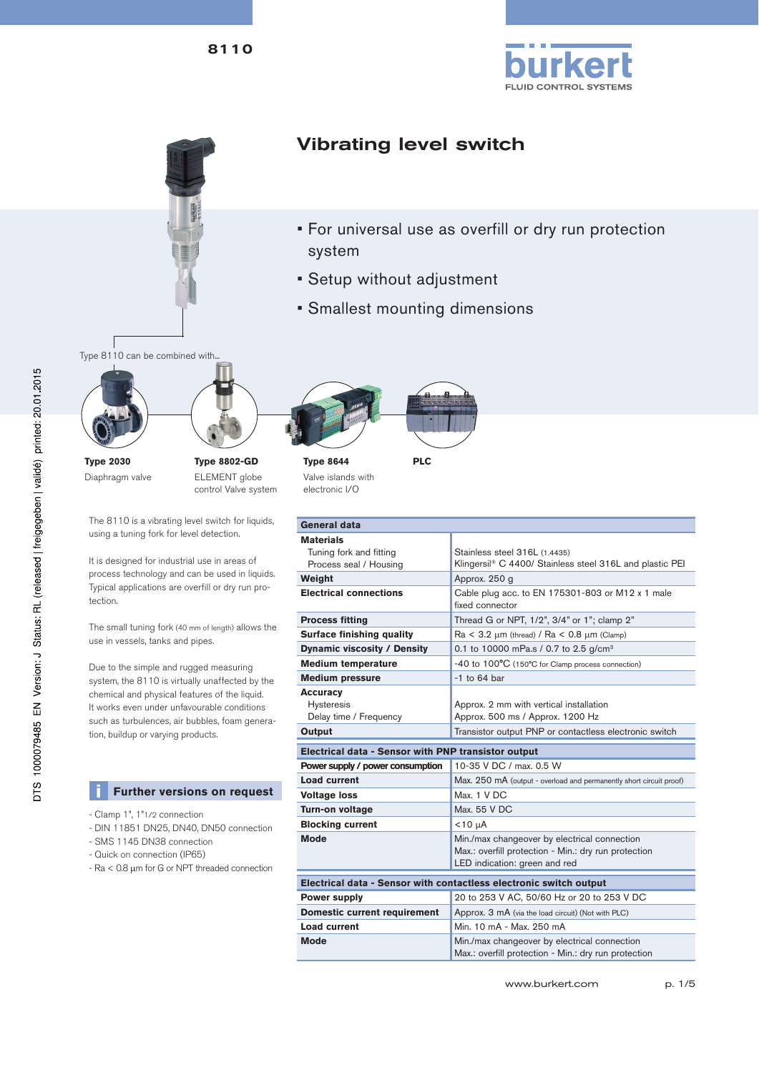





# Vibrating level switch

- For universal use as overfill or dry run protection system
- Setup without adjustment
- Smallest mounting dimensions

Type 8110 can be combined with..





Diaphragm valve

ELEMENT globe control Valve system

The 8110 is a vibrating level switch for liquids, using a tuning fork for level detection.

It is designed for industrial use in areas of process technology and can be used in liquids. Typical applications are overfill or dry run protection.

The small tuning fork (40 mm of length) allows the use in vessels, tanks and pipes.

Due to the simple and rugged measuring system, the 8110 is virtually unaffected by the chemical and physical features of the liquid. It works even under unfavourable conditions such as turbulences, air bubbles, foam generation, buildup or varying products.

## **EXTERGLED** Further versions on request

- Clamp 1", 1"1/2 connection
- DIN 11851 DN25, DN40, DN50 connection
- SMS 1145 DN38 connection
- Quick on connection (IP65)
- Ra < 0.8  $\mu$ m for G or NPT threaded connection



**Type 8644** Valve islands with electronic I/O

| General data                                                   |                                                                                                      |  |  |
|----------------------------------------------------------------|------------------------------------------------------------------------------------------------------|--|--|
| <b>Materials</b>                                               |                                                                                                      |  |  |
| Tuning fork and fitting                                        | Stainless steel 316L (1.4435)                                                                        |  |  |
| Process seal / Housing                                         | Klingersil® C 4400/ Stainless steel 316L and plastic PEI                                             |  |  |
| Weight                                                         | Approx. 250 g                                                                                        |  |  |
| <b>Electrical connections</b>                                  | Cable plug acc. to EN 175301-803 or M12 x 1 male<br>fixed connector                                  |  |  |
| <b>Process fitting</b>                                         | Thread G or NPT, 1/2", 3/4" or 1"; clamp 2"                                                          |  |  |
| Surface finishing quality                                      | $Ra < 3.2 \mu m$ (thread) / $Ra < 0.8 \mu m$ (Clamp)                                                 |  |  |
| Dynamic viscosity / Density                                    | 0.1 to 10000 mPa.s / 0.7 to 2.5 g/cm <sup>3</sup>                                                    |  |  |
| <b>Medium temperature</b>                                      | -40 to 100°C (150°C for Clamp process connection)                                                    |  |  |
| <b>Medium pressure</b>                                         | $-1$ to 64 bar                                                                                       |  |  |
| <b>Accuracy</b><br><b>Hysteresis</b><br>Delay time / Frequency | Approx. 2 mm with vertical installation<br>Approx. 500 ms / Approx. 1200 Hz                          |  |  |
| Output                                                         | Transistor output PNP or contactless electronic switch                                               |  |  |
|                                                                |                                                                                                      |  |  |
| Electrical data - Sensor with PNP transistor output            |                                                                                                      |  |  |
| Power supply / power consumption                               | 10-35 V DC / max, 0.5 W                                                                              |  |  |
| <b>Load current</b>                                            | Max. 250 mA (output - overload and permanently short circuit proof)                                  |  |  |
| <b>Voltage loss</b>                                            | Max. 1 V DC                                                                                          |  |  |
| Turn-on voltage                                                | Max. 55 V DC                                                                                         |  |  |
| <b>Blocking current</b>                                        | $<$ 10 µA                                                                                            |  |  |
| <b>Mode</b>                                                    | Min./max changeover by electrical connection<br>Max.: overfill protection - Min.: dry run protection |  |  |
|                                                                | LED indication: green and red                                                                        |  |  |
|                                                                | Electrical data - Sensor with contactless electronic switch output                                   |  |  |
| <b>Power supply</b>                                            | 20 to 253 V AC, 50/60 Hz or 20 to 253 V DC                                                           |  |  |
| <b>Domestic current requirement</b>                            | Approx. 3 mA (via the load circuit) (Not with PLC)                                                   |  |  |
| <b>Load current</b>                                            | Min. 10 mA - Max. 250 mA                                                                             |  |  |
| <b>Mode</b>                                                    | Min./max changeover by electrical connection<br>Max.: overfill protection - Min.: dry run protection |  |  |

www.burkert.com p. 1/5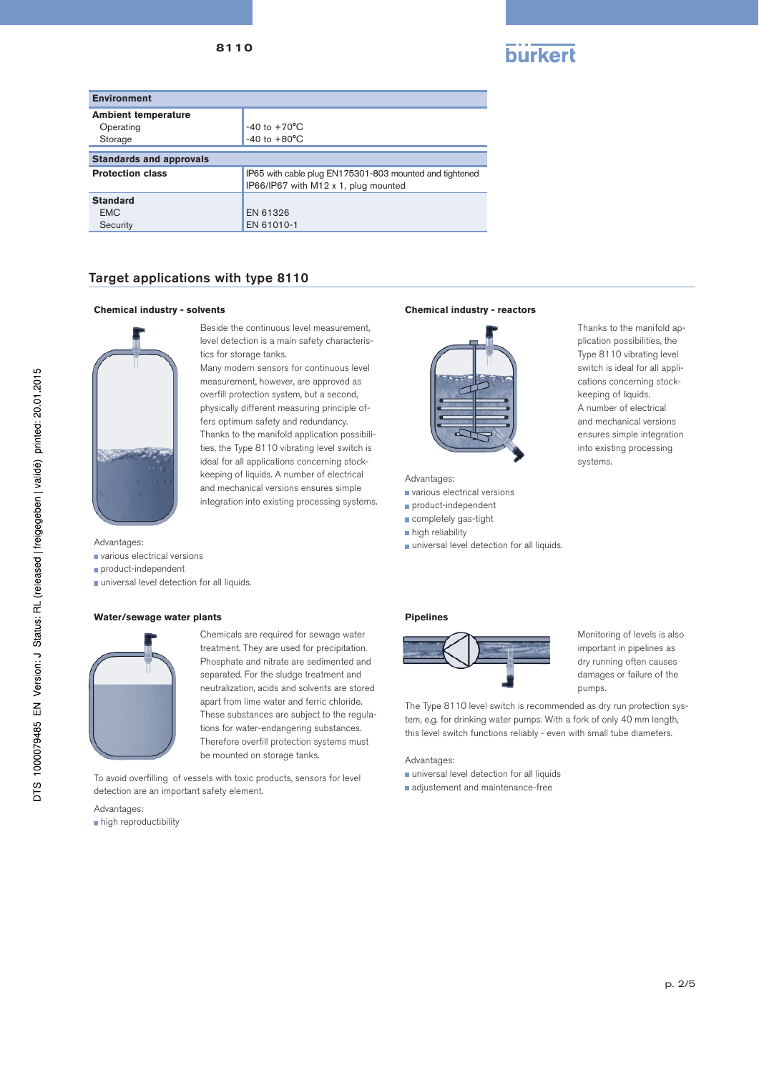8110



| <b>Environment</b>                      |                                                                                                 |  |
|-----------------------------------------|-------------------------------------------------------------------------------------------------|--|
| <b>Ambient temperature</b><br>Operating | $-40$ to $+70^{\circ}$ C                                                                        |  |
| Storage                                 | $-40$ to $+80^{\circ}$ C                                                                        |  |
| <b>Standards and approvals</b>          |                                                                                                 |  |
| <b>Protection class</b>                 | IP65 with cable plug EN175301-803 mounted and tightened<br>IP66/IP67 with M12 x 1, plug mounted |  |
| <b>Standard</b>                         |                                                                                                 |  |
| <b>EMC</b>                              | EN 61326                                                                                        |  |
| Security                                | EN 61010-1                                                                                      |  |

## Target applications with type 8110

### **Chemical industry - solvents Chemical industry - reactors**



Beside the continuous level measurement, level detection is a main safety characteristics for storage tanks.

Many modern sensors for continuous level measurement, however, are approved as overfill protection system, but a second, physically different measuring principle offers optimum safety and redundancy. Thanks to the manifold application possibilities, the Type 8110 vibrating level switch is ideal for all applications concerning stockkeeping of liquids. A number of electrical and mechanical versions ensures simple integration into existing processing systems.

- various electrical versions
- product-independent
- universal level detection for all liquids.

### Water/sewage water plants **Pipelines Pipelines**



Chemicals are required for sewage water treatment. They are used for precipitation. Phosphate and nitrate are sedimented and separated. For the sludge treatment and neutralization, acids and solvents are stored apart from lime water and ferric chloride. These substances are subject to the regulations for water-endangering substances. Therefore overfill protection systems must be mounted on storage tanks.

To avoid overfilling of vessels with toxic products, sensors for level<br>detection are an important safety element detection are an important safety element.

Advantages:

high reproductibility



## Advantages:

- various electrical versions
- product-independent
- completely gas-tight
- high reliability
- Advantages: and the contract of the contract of the contract of the contract of the contract of the contract of the contract of the contract of the contract of the contract of the contract of the contract of the contract o



Monitoring of levels is also important in pipelines as dry running often causes damages or failure of the pumps.

Thanks to the manifold application possibilities, the Type 8110 vibrating level switch is ideal for all applications concerning stockkeeping of liquids. A number of electrical and mechanical versions ensures simple integration into existing processing

systems.

The Type 8110 level switch is recommended as dry run protection system, e.g. for drinking water pumps. With a fork of only 40 mm length, this level switch functions reliably - even with small tube diameters.

Advantages:

- universal level detection for all liquids
-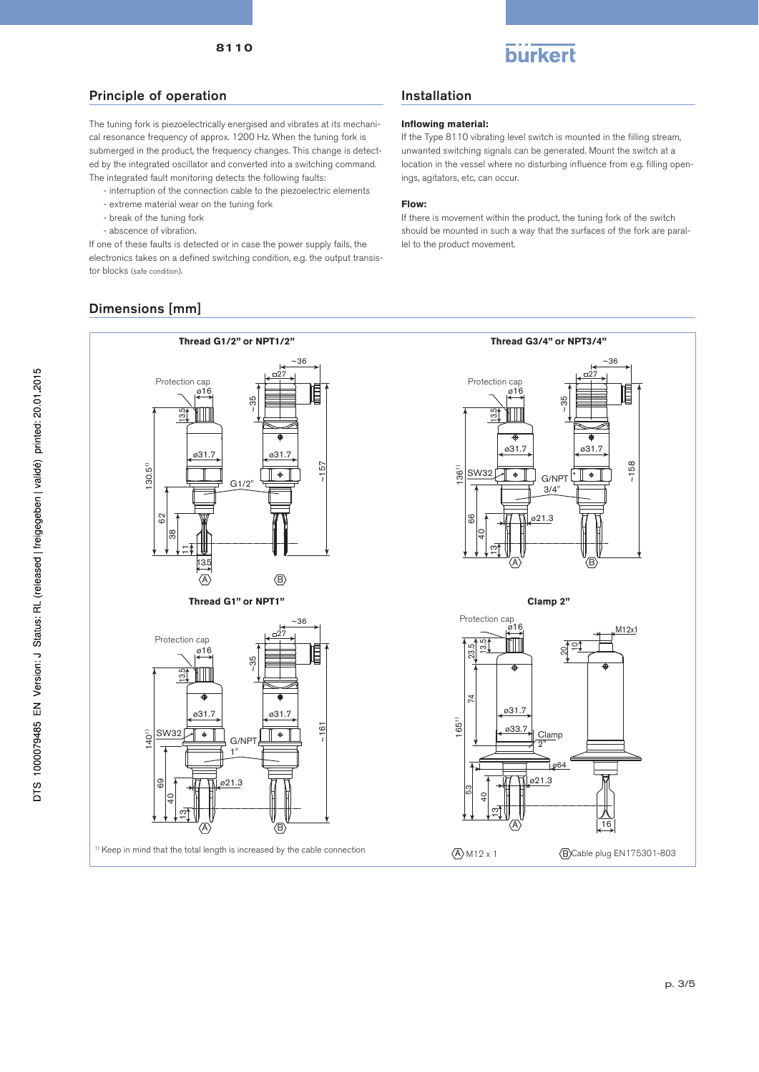

## Principle of operation

The tuning fork is piezoelectrically energised and vibrates at its mechanical resonance frequency of approx. 1200 Hz. When the tuning fork is submerged in the product, the frequency changes. This change is detected by the integrated oscillator and converted into a switching command. The integrated fault monitoring detects the following faults:

- interruption of the connection cable to the piezoelectric elements
- extreme material wear on the tuning fork
- break of the tuning fork
- abscence of vibration.

If one of these faults is detected or in case the power supply fails, the electronics takes on a defined switching condition, e.g. the output transistor blocks (safe condition).

# Dimensions [mm]

# Installation

## **Inflowing material:**

If the Type 8110 vibrating level switch is mounted in the filling stream, unwanted switching signals can be generated. Mount the switch at a location in the vessel where no disturbing influence from e.g. filling openings, agitators, etc, can occur.

## **Flow:**

If there is movement within the product, the tuning fork of the switch should be mounted in such a way that the surfaces of the fork are parallel to the product movement.

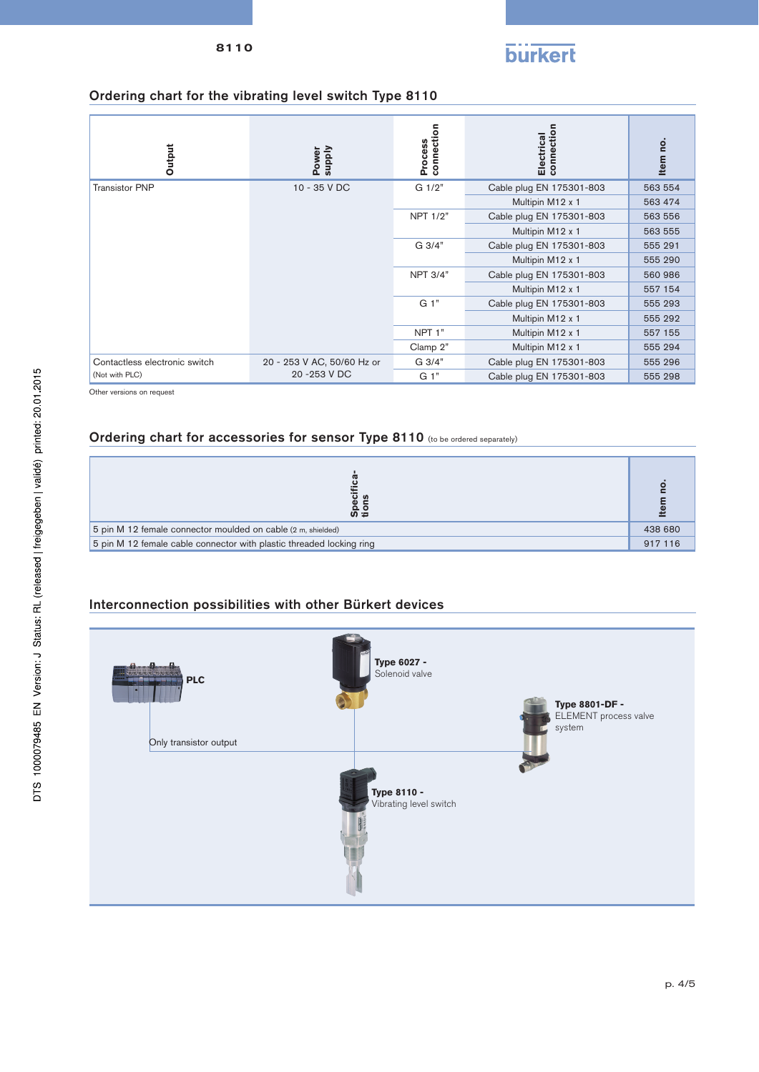

# Ordering chart for the vibrating level switch Type 8110

| Output                          | <b>Supply</b><br>Power     | connection<br>Process | connection<br>Electrical | on<br><b>Item</b> |
|---------------------------------|----------------------------|-----------------------|--------------------------|-------------------|
| <b>Transistor PNP</b>           | 10 - 35 V DC               | G 1/2"                | Cable plug EN 175301-803 | 563 554           |
|                                 |                            |                       | Multipin M12 x 1         | 563 474           |
|                                 |                            | NPT 1/2"              | Cable plug EN 175301-803 | 563 556           |
|                                 |                            |                       | Multipin M12 x 1         | 563 555           |
|                                 |                            | G 3/4"                | Cable plug EN 175301-803 | 555 291           |
|                                 |                            |                       | Multipin M12 x 1         | 555 290           |
|                                 |                            | <b>NPT 3/4"</b>       | Cable plug EN 175301-803 | 560 986           |
|                                 |                            |                       | Multipin M12 x 1         | 557 154           |
|                                 |                            | G 1"                  | Cable plug EN 175301-803 | 555 293           |
|                                 |                            |                       | Multipin M12 x 1         | 555 292           |
|                                 |                            | NPT <sub>1</sub> "    | Multipin M12 x 1         | 557 155           |
|                                 |                            | Clamp 2"              | Multipin M12 x 1         | 555 294           |
| Contactless electronic switch   | 20 - 253 V AC, 50/60 Hz or | G 3/4"                | Cable plug EN 175301-803 | 555 296           |
| 20 - 253 V DC<br>(Not with PLC) |                            | G 1"                  | Cable plug EN 175301-803 | 555 298           |

Other versions on request

# Ordering chart for accessories for sensor Type 8110 (to be ordered separately)

| န္တည္                                                                |  |
|----------------------------------------------------------------------|--|
| 5 pin M 12 female connector moulded on cable (2 m, shielded)         |  |
| 5 pin M 12 female cable connector with plastic threaded locking ring |  |

# Interconnection possibilities with other Bürkert devices